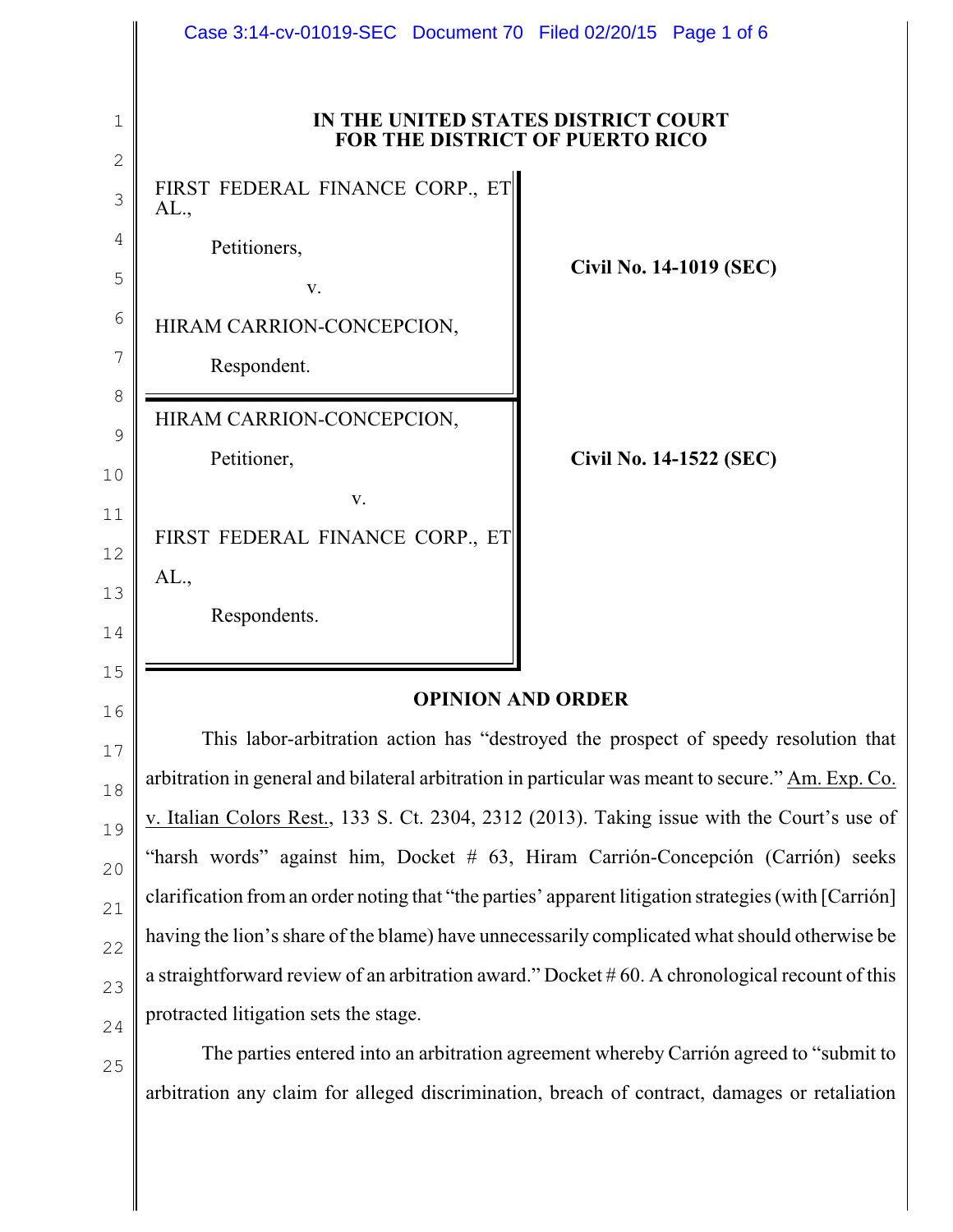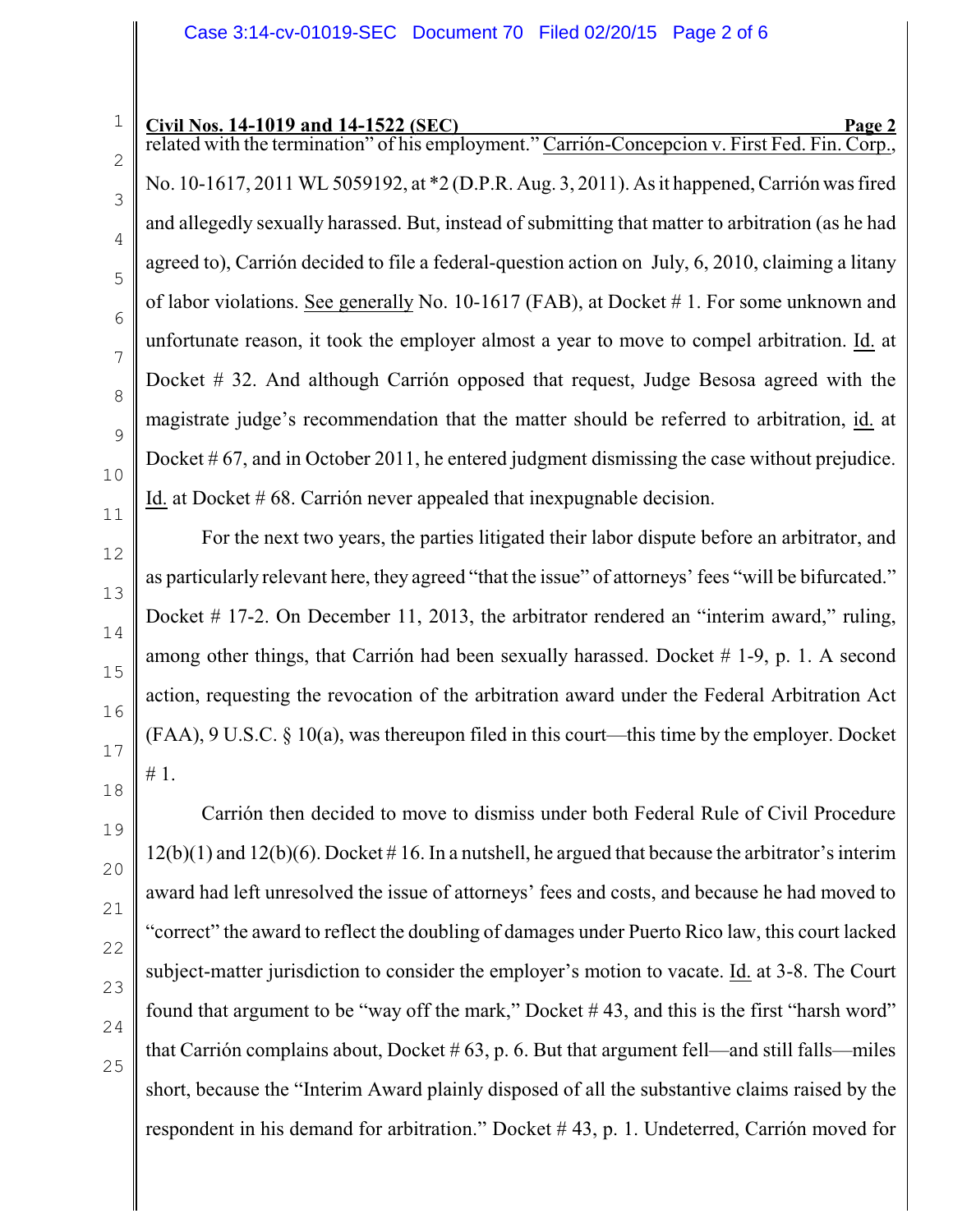related with the termination" of his employment." Carrión-Concepcion v. First Fed. Fin. Corp. No. 10-1617, 2011 WL 5059192, at \*2 (D.P.R. Aug. 3, 2011). As it happened, Carrión was fired and allegedly sexually harassed. But, instead of submitting that matter to arbitration (as he had agreed to), Carrión decided to file a federal-question action on July, 6, 2010, claiming a litany of labor violations. See generally No. 10-1617 (FAB), at Docket # 1. For some unknown and unfortunate reason, it took the employer almost a year to move to compel arbitration. Id. at Docket # 32. And although Carrión opposed that request, Judge Besosa agreed with the magistrate judge's recommendation that the matter should be referred to arbitration, id. at Docket # 67, and in October 2011, he entered judgment dismissing the case without prejudice. Id. at Docket # 68. Carrión never appealed that inexpugnable decision.

For the next two years, the parties litigated their labor dispute before an arbitrator, and as particularly relevant here, they agreed "that the issue" of attorneys' fees "will be bifurcated." Docket # 17-2. On December 11, 2013, the arbitrator rendered an "interim award," ruling, among other things, that Carrión had been sexually harassed. Docket # 1-9, p. 1. A second action, requesting the revocation of the arbitration award under the Federal Arbitration Act (FAA), 9 U.S.C. § 10(a), was thereupon filed in this court—this time by the employer. Docket # 1.

Carrión then decided to move to dismiss under both Federal Rule of Civil Procedure  $12(b)(1)$  and  $12(b)(6)$ . Docket #16. In a nutshell, he argued that because the arbitrator's interim award had left unresolved the issue of attorneys' fees and costs, and because he had moved to "correct" the award to reflect the doubling of damages under Puerto Rico law, this court lacked subject-matter jurisdiction to consider the employer's motion to vacate. Id. at 3-8. The Court found that argument to be "way off the mark," Docket # 43, and this is the first "harsh word" that Carrión complains about, Docket  $# 63$ , p. 6. But that argument fell—and still falls—miles short, because the "Interim Award plainly disposed of all the substantive claims raised by the respondent in his demand for arbitration." Docket # 43, p. 1. Undeterred, Carrión moved for

1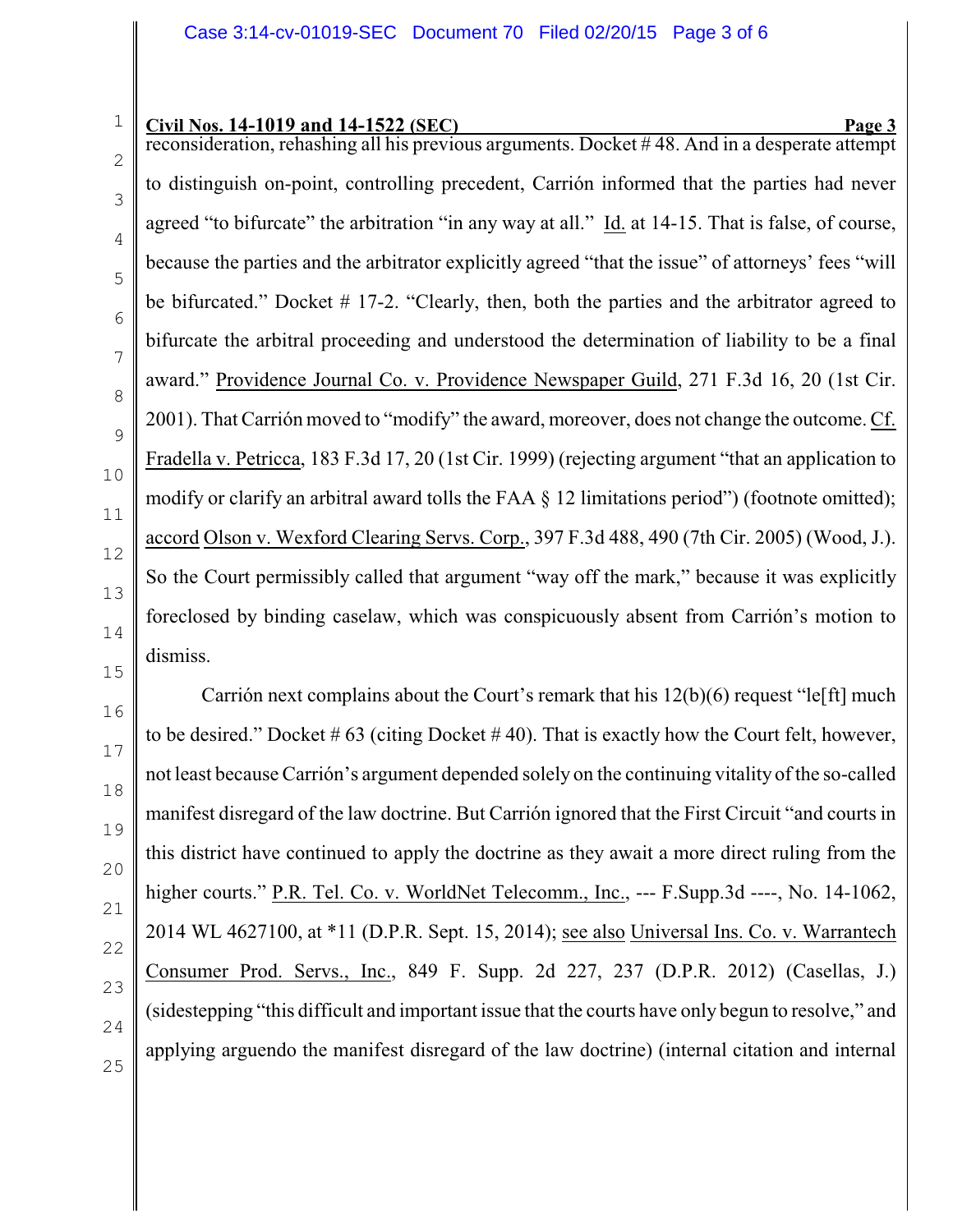2 3 reconsideration, rehashing all his previous arguments. Docket # 48. And in a desperate attempt to distinguish on-point, controlling precedent, Carrión informed that the parties had never agreed "to bifurcate" the arbitration "in any way at all." Id. at 14-15. That is false, of course, because the parties and the arbitrator explicitly agreed "that the issue" of attorneys' fees "will be bifurcated." Docket # 17-2. "Clearly, then, both the parties and the arbitrator agreed to bifurcate the arbitral proceeding and understood the determination of liability to be a final award." Providence Journal Co. v. Providence Newspaper Guild, 271 F.3d 16, 20 (1st Cir. 2001). That Carrión moved to "modify" the award, moreover, does not change the outcome. Cf. Fradella v. Petricca, 183 F.3d 17, 20 (1st Cir. 1999) (rejecting argument "that an application to modify or clarify an arbitral award tolls the FAA § 12 limitations period") (footnote omitted); accord Olson v. Wexford Clearing Servs. Corp., 397 F.3d 488, 490 (7th Cir. 2005) (Wood, J.). So the Court permissibly called that argument "way off the mark," because it was explicitly foreclosed by binding caselaw, which was conspicuously absent from Carrión's motion to dismiss.

Carrión next complains about the Court's remark that his 12(b)(6) request "le[ft] much to be desired." Docket  $\# 63$  (citing Docket  $\# 40$ ). That is exactly how the Court felt, however, not least because Carrión's argument depended solely on the continuing vitality of the so-called manifest disregard of the law doctrine. But Carrión ignored that the First Circuit "and courts in this district have continued to apply the doctrine as they await a more direct ruling from the higher courts." P.R. Tel. Co. v. WorldNet Telecomm., Inc., --- F.Supp.3d ----, No. 14-1062, 2014 WL 4627100, at \*11 (D.P.R. Sept. 15, 2014); see also Universal Ins. Co. v. Warrantech Consumer Prod. Servs., Inc., 849 F. Supp. 2d 227, 237 (D.P.R. 2012) (Casellas, J.) (sidestepping "this difficult and important issue that the courts have only begun to resolve," and applying arguendo the manifest disregard of the law doctrine) (internal citation and internal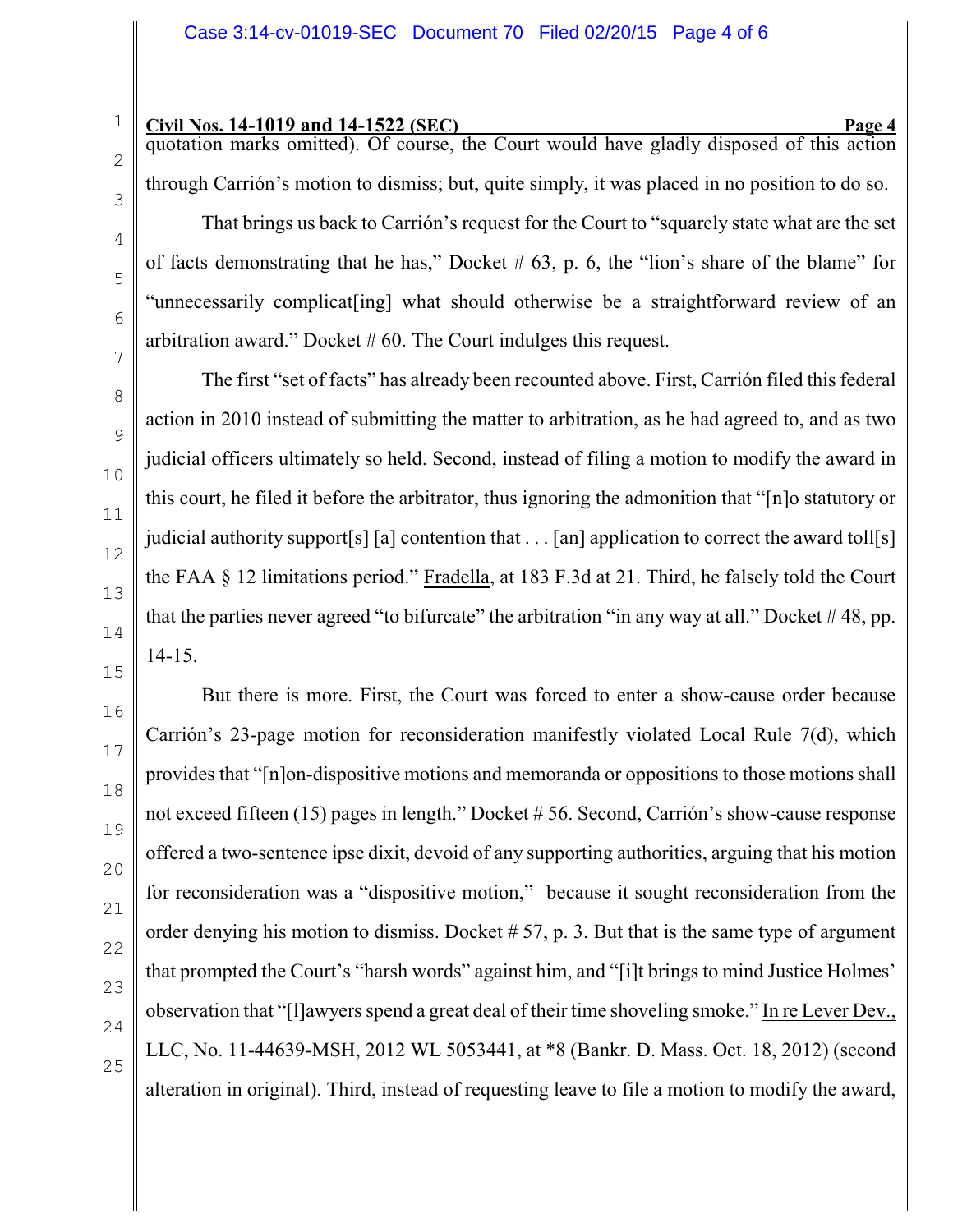quotation marks omitted). Of course, the Court would have gladly disposed of this action through Carrión's motion to dismiss; but, quite simply, it was placed in no position to do so. That brings us back to Carrión's request for the Court to "squarely state what are the set of facts demonstrating that he has," Docket  $# 63$ , p. 6, the "lion's share of the blame" for "unnecessarily complicat[ing] what should otherwise be a straightforward review of an arbitration award." Docket # 60. The Court indulges this request.

The first "set of facts" has already been recounted above. First, Carrión filed this federal action in 2010 instead of submitting the matter to arbitration, as he had agreed to, and as two judicial officers ultimately so held. Second, instead of filing a motion to modify the award in this court, he filed it before the arbitrator, thus ignoring the admonition that "[n]o statutory or judicial authority support[s] [a] contention that . . . [an] application to correct the award toll[s] the FAA § 12 limitations period." Fradella, at 183 F.3d at 21. Third, he falsely told the Court that the parties never agreed "to bifurcate" the arbitration "in any way at all." Docket  $\#48$ , pp. 14-15.

But there is more. First, the Court was forced to enter a show-cause order because Carrión's 23-page motion for reconsideration manifestly violated Local Rule 7(d), which provides that "[n]on-dispositive motions and memoranda or oppositions to those motions shall not exceed fifteen (15) pages in length." Docket # 56. Second, Carrión's show-cause response offered a two-sentence ipse dixit, devoid of any supporting authorities, arguing that his motion for reconsideration was a "dispositive motion," because it sought reconsideration from the order denying his motion to dismiss. Docket  $# 57$ , p. 3. But that is the same type of argument that prompted the Court's "harsh words" against him, and "[i]t brings to mind Justice Holmes' observation that "[l]awyers spend a great deal of their time shoveling smoke." In re Lever Dev., LLC, No. 11-44639-MSH, 2012 WL 5053441, at \*8 (Bankr. D. Mass. Oct. 18, 2012) (second alteration in original). Third, instead of requesting leave to file a motion to modify the award,

1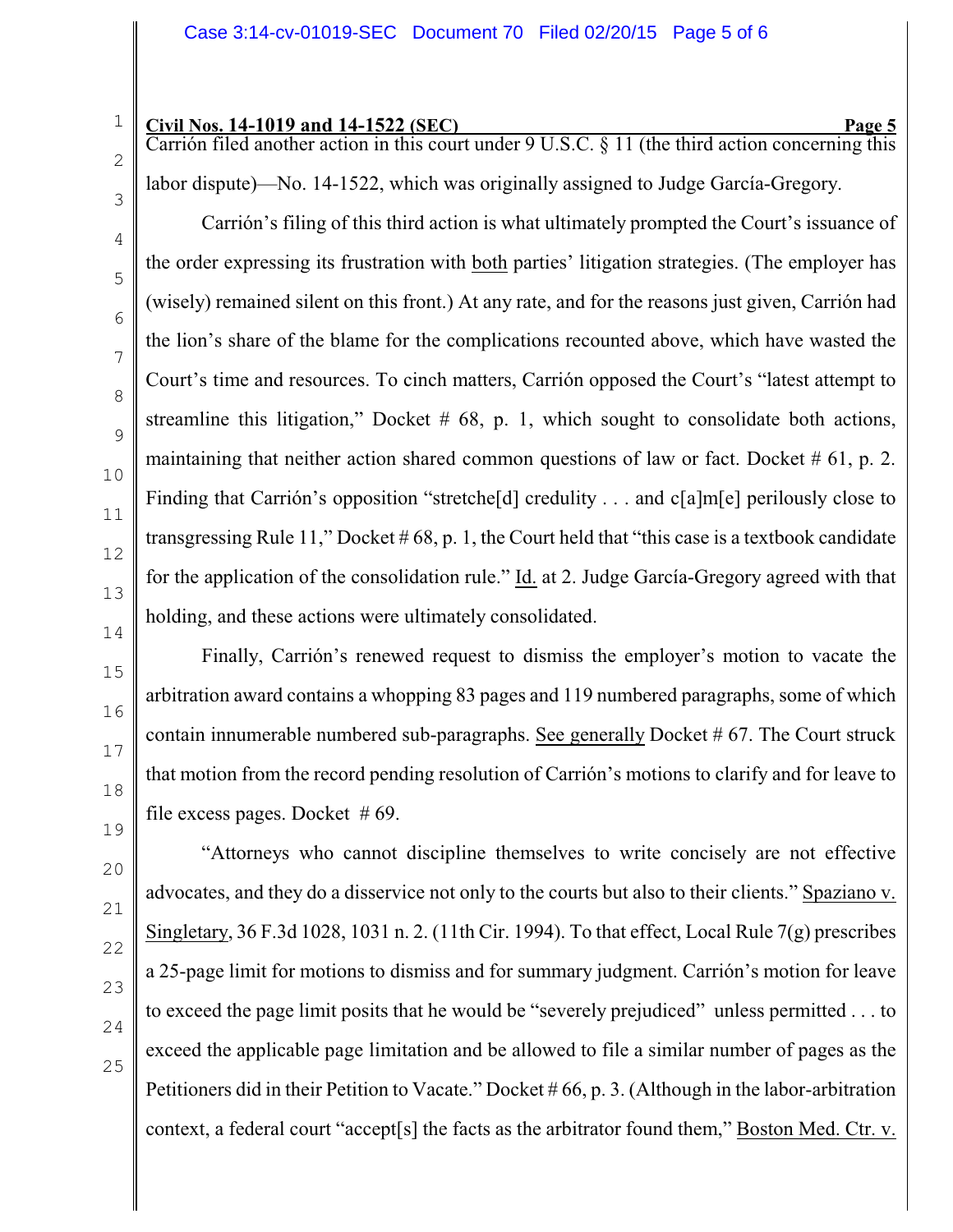Carrión filed another action in this court under 9 U.S.C. § 11 (the third action concerning this labor dispute)—No. 14-1522, which was originally assigned to Judge García-Gregory.

Carrión's filing of this third action is what ultimately prompted the Court's issuance of the order expressing its frustration with both parties' litigation strategies. (The employer has (wisely) remained silent on this front.) At any rate, and for the reasons just given, Carrión had the lion's share of the blame for the complications recounted above, which have wasted the Court's time and resources. To cinch matters, Carrión opposed the Court's "latest attempt to streamline this litigation," Docket  $# 68$ , p. 1, which sought to consolidate both actions, maintaining that neither action shared common questions of law or fact. Docket  $# 61$ , p. 2. Finding that Carrión's opposition "stretche<sup>[d]</sup> credulity . . . and c<sup>[a]</sup>m<sup>[e]</sup> perilously close to transgressing Rule 11," Docket  $\# 68$ , p. 1, the Court held that "this case is a textbook candidate" for the application of the consolidation rule." Id. at 2. Judge García-Gregory agreed with that holding, and these actions were ultimately consolidated.

Finally, Carrión's renewed request to dismiss the employer's motion to vacate the arbitration award contains a whopping 83 pages and 119 numbered paragraphs, some of which contain innumerable numbered sub-paragraphs. See generally Docket # 67. The Court struck that motion from the record pending resolution of Carrión's motions to clarify and for leave to file excess pages. Docket  $#69$ .

"Attorneys who cannot discipline themselves to write concisely are not effective advocates, and they do a disservice not only to the courts but also to their clients." Spaziano v. Singletary, 36 F.3d 1028, 1031 n. 2. (11th Cir. 1994). To that effect, Local Rule 7(g) prescribes a 25-page limit for motions to dismiss and for summary judgment. Carrión's motion for leave to exceed the page limit posits that he would be "severely prejudiced" unless permitted . . . to exceed the applicable page limitation and be allowed to file a similar number of pages as the Petitioners did in their Petition to Vacate." Docket # 66, p. 3. (Although in the labor-arbitration context, a federal court "accept[s] the facts as the arbitrator found them," Boston Med. Ctr. v.